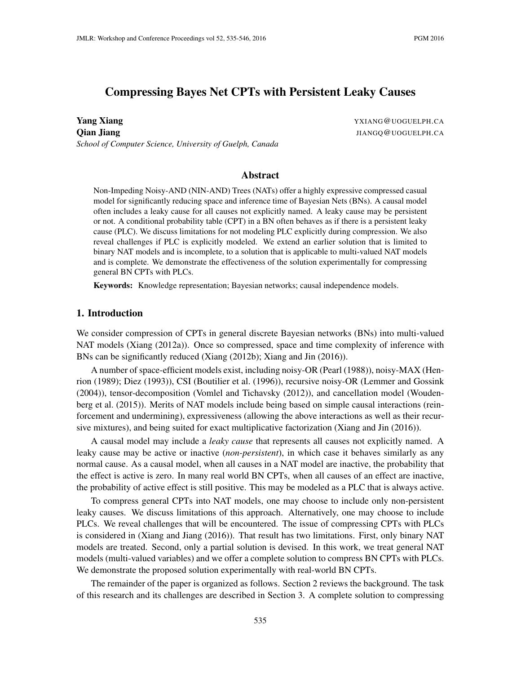# Compressing Bayes Net CPTs with Persistent Leaky Causes

**Yang Xiang YALANG YALANG YALANG YALANG YALANG YALANG YALANG YALANG YALANG YALANG YALANG YALANG YALANG YALANG YALANG YALANG YALANG YALANG YALANG YALANG YALANG YALANG YALANG Y Qian Jiang** JIANGQ@UOGUELPH.CA *School of Computer Science, University of Guelph, Canada*

## Abstract

Non-Impeding Noisy-AND (NIN-AND) Trees (NATs) offer a highly expressive compressed casual model for significantly reducing space and inference time of Bayesian Nets (BNs). A causal model often includes a leaky cause for all causes not explicitly named. A leaky cause may be persistent or not. A conditional probability table (CPT) in a BN often behaves as if there is a persistent leaky cause (PLC). We discuss limitations for not modeling PLC explicitly during compression. We also reveal challenges if PLC is explicitly modeled. We extend an earlier solution that is limited to binary NAT models and is incomplete, to a solution that is applicable to multi-valued NAT models and is complete. We demonstrate the effectiveness of the solution experimentally for compressing general BN CPTs with PLCs.

Keywords: Knowledge representation; Bayesian networks; causal independence models.

## 1. Introduction

We consider compression of CPTs in general discrete Bayesian networks (BNs) into multi-valued NAT models (Xiang (2012a)). Once so compressed, space and time complexity of inference with BNs can be significantly reduced (Xiang (2012b); Xiang and Jin (2016)).

A number of space-efficient models exist, including noisy-OR (Pearl (1988)), noisy-MAX (Henrion (1989); Diez (1993)), CSI (Boutilier et al. (1996)), recursive noisy-OR (Lemmer and Gossink (2004)), tensor-decomposition (Vomlel and Tichavsky (2012)), and cancellation model (Woudenberg et al. (2015)). Merits of NAT models include being based on simple causal interactions (reinforcement and undermining), expressiveness (allowing the above interactions as well as their recursive mixtures), and being suited for exact multiplicative factorization (Xiang and Jin (2016)).

A causal model may include a *leaky cause* that represents all causes not explicitly named. A leaky cause may be active or inactive (*non-persistent*), in which case it behaves similarly as any normal cause. As a causal model, when all causes in a NAT model are inactive, the probability that the effect is active is zero. In many real world BN CPTs, when all causes of an effect are inactive, the probability of active effect is still positive. This may be modeled as a PLC that is always active.

To compress general CPTs into NAT models, one may choose to include only non-persistent leaky causes. We discuss limitations of this approach. Alternatively, one may choose to include PLCs. We reveal challenges that will be encountered. The issue of compressing CPTs with PLCs is considered in (Xiang and Jiang (2016)). That result has two limitations. First, only binary NAT models are treated. Second, only a partial solution is devised. In this work, we treat general NAT models (multi-valued variables) and we offer a complete solution to compress BN CPTs with PLCs. We demonstrate the proposed solution experimentally with real-world BN CPTs.

The remainder of the paper is organized as follows. Section 2 reviews the background. The task of this research and its challenges are described in Section 3. A complete solution to compressing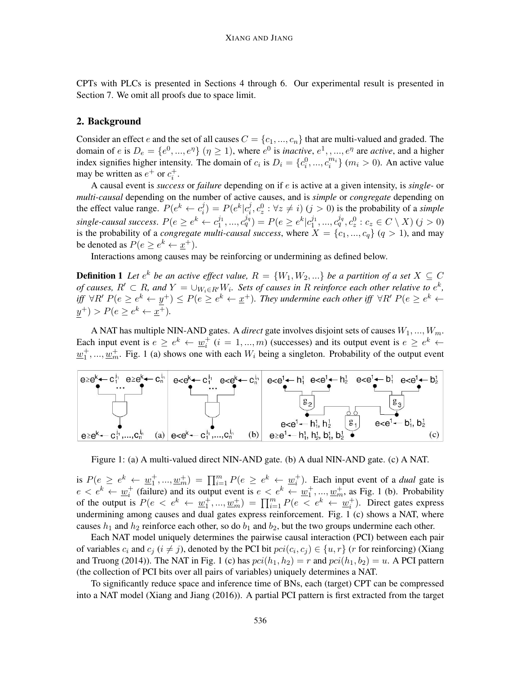CPTs with PLCs is presented in Sections 4 through 6. Our experimental result is presented in Section 7. We omit all proofs due to space limit.

## 2. Background

Consider an effect e and the set of all causes  $C = \{c_1, ..., c_n\}$  that are multi-valued and graded. The domain of  $e$  is  $D_e = \{e^0, ..., e^{\eta}\}\ (n \ge 1)$ , where  $e^0$  is *inactive*,  $e^1, ..., e^{\eta}$  are *active*, and a higher index signifies higher intensity. The domain of  $c_i$  is  $D_i = \{c_i^0, ..., c_i^{m_i}\}$   $(m_i > 0)$ . An active value may be written as  $e^+$  or  $c_i^+$ .

A causal event is *success* or *failure* depending on if e is active at a given intensity, is *single-* or *multi-causal* depending on the number of active causes, and is *simple* or *congregate* depending on the effect value range.  $P(e^k \leftarrow c_i^j)$  $i^j$ ) =  $P(e^k|c_i^j)$  $i<sub>i</sub>$ ,  $c<sub>2</sub><sup>j</sup>$  :  $\forall z \neq i$ ) ( $j > 0$ ) is the probability of a *simple*  $single-causal success.$   $P(e \ge e^k \leftarrow c_1^{j_1}, ..., c_q^{j_q}) = P(e \ge e^k | c_1^{j_1}, ..., c_q^{j_q}, c_z^0 : c_z \in C \setminus X)$   $(j > 0)$ is the probability of a *congregate multi-causal success*, where  $X = \{c_1, ..., c_q\}$   $(q > 1)$ , and may be denoted as  $P(e \ge e^k \leftarrow \underline{x}^+)$ .

Interactions among causes may be reinforcing or undermining as defined below.

**Definition 1** Let  $e^k$  be an active effect value,  $R = \{W_1, W_2, ...\}$  be a partition of a set  $X \subseteq C$ *of causes,*  $R' \subset R$ , and  $Y = \bigcup_{W_i \in R'} W_i$ . Sets of causes in R reinforce each other relative to  $e^k$ , *iff*  $\forall R'$   $P(e \ge e^k \leftarrow y^+) \le P(e \ge e^k \leftarrow x^+)$ . They undermine each other iff  $\forall R'$   $P(e \ge e^k \leftarrow y^+)$  $y^{+}$  >  $P(e \ge e^{k} \leftarrow \underline{x}^{+}).$ 

A NAT has multiple NIN-AND gates. A *direct* gate involves disjoint sets of causes  $W_1, ..., W_m$ . Each input event is  $e \ge e^k \leftarrow \underline{w}_i^+$   $(i = 1, ..., m)$  (successes) and its output event is  $e \ge e^k \leftarrow$  $\underline{w}_1^+$ , ...,  $\underline{w}_m^+$ . Fig. 1 (a) shows one with each  $W_i$  being a singleton. Probability of the output event



Figure 1: (a) A multi-valued direct NIN-AND gate. (b) A dual NIN-AND gate. (c) A NAT.

is  $P(e \ge e^k \leftarrow \underline{w}_1^+, ..., \underline{w}_m^+) = \prod_{i=1}^m P(e \ge e^k \leftarrow \underline{w}_i^+)$ . Each input event of a *dual* gate is  $e < e^k \leftarrow \underline{w}_i^+$  (failure) and its output event is  $e < e^k \leftarrow \underline{w}_1^+,...,\underline{w}_m^+$ , as Fig. 1 (b). Probability of the output is  $P(e \le e^k \leftarrow \underline{w}_1^+, ..., \underline{w}_m^+) = \prod_{i=1}^m P(e \le e^k \leftarrow \underline{w}_i^+)$ . Direct gates express undermining among causes and dual gates express reinforcement. Fig. 1 (c) shows a NAT, where causes  $h_1$  and  $h_2$  reinforce each other, so do  $b_1$  and  $b_2$ , but the two groups undermine each other.

Each NAT model uniquely determines the pairwise causal interaction (PCI) between each pair of variables  $c_i$  and  $c_j$  ( $i \neq j$ ), denoted by the PCI bit  $pci(c_i, c_j) \in \{u, r\}$  (*r* for reinforcing) (Xiang and Truong (2014)). The NAT in Fig. 1 (c) has  $pci(h_1, h_2) = r$  and  $pci(h_1, b_2) = u$ . A PCI pattern (the collection of PCI bits over all pairs of variables) uniquely determines a NAT.

To significantly reduce space and inference time of BNs, each (target) CPT can be compressed into a NAT model (Xiang and Jiang (2016)). A partial PCI pattern is first extracted from the target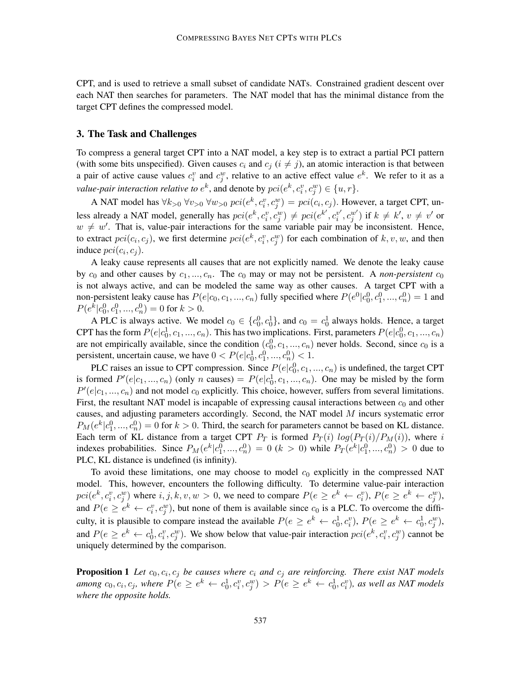CPT, and is used to retrieve a small subset of candidate NATs. Constrained gradient descent over each NAT then searches for parameters. The NAT model that has the minimal distance from the target CPT defines the compressed model.

## 3. The Task and Challenges

To compress a general target CPT into a NAT model, a key step is to extract a partial PCI pattern (with some bits unspecified). Given causes  $c_i$  and  $c_j$  ( $i \neq j$ ), an atomic interaction is that between a pair of active cause values  $c_i^v$  and  $c_j^w$ , relative to an active effect value  $e^k$ . We refer to it as a *value-pair interaction relative to*  $e^k$ *, and denote by*  $pci(e^k, c^v_i, c^w_j) \in \{u, r\}.$ 

A NAT model has  $\forall k_{>0}$   $\forall v_{>0}$   $\forall w_{>0}$   $pci(e^k, c_i^v, c_j^w) = pci(c_i, c_j)$ . However, a target CPT, unless already a NAT model, generally has  $pci(e^k, c_i^v, c_j^w) \neq pci(e^{k'}, c_i^{v'}$  $\left(v_i^{\prime}, c_j^{w'}\right)$  if  $k \neq k', v \neq v'$  or  $w \neq w'$ . That is, value-pair interactions for the same variable pair may be inconsistent. Hence, to extract  $pci(c_i, c_j)$ , we first determine  $pci(e^k, c_i^v, c_j^w)$  for each combination of  $k, v, w$ , and then induce  $pci(c_i, c_j)$ .

A leaky cause represents all causes that are not explicitly named. We denote the leaky cause by  $c_0$  and other causes by  $c_1, ..., c_n$ . The  $c_0$  may or may not be persistent. A *non-persistent*  $c_0$ is not always active, and can be modeled the same way as other causes. A target CPT with a non-persistent leaky cause has  $P(e|c_0, c_1, ..., c_n)$  fully specified where  $P(e^0|c_0^0, c_1^0, ..., c_n^0) = 1$  and  $P(e^k|c_0^0, c_1^0, ..., c_n^0) = 0$  for  $k > 0$ .

A PLC is always active. We model  $c_0 \in \{c_0^0, c_0^1\}$ , and  $c_0 = c_0^1$  always holds. Hence, a target CPT has the form  $P(e|c_0^1, c_1, ..., c_n)$ . This has two implications. First, parameters  $P(e|c_0^0, c_1, ..., c_n)$ are not empirically available, since the condition  $(c_0^0, c_1, ..., c_n)$  never holds. Second, since  $c_0$  is a persistent, uncertain cause, we have  $0 < P(e|c_0^1, c_1^0, ..., c_n^0) < 1$ .

PLC raises an issue to CPT compression. Since  $P(e|c_0^0, c_1, ..., c_n)$  is undefined, the target CPT is formed  $P'(e|c_1, ..., c_n)$  (only n causes) =  $P(e|c_0^1, c_1, ..., c_n)$ . One may be misled by the form  $P'(e|c_1,...,c_n)$  and not model  $c_0$  explicitly. This choice, however, suffers from several limitations. First, the resultant NAT model is incapable of expressing causal interactions between  $c_0$  and other causes, and adjusting parameters accordingly. Second, the NAT model M incurs systematic error  $P_M(e^k|c_1^0, ..., c_n^0) = 0$  for  $k > 0$ . Third, the search for parameters cannot be based on KL distance. Each term of KL distance from a target CPT  $P_T$  is formed  $P_T(i) log(P_T(i)/P_M(i))$ , where i indexes probabilities. Since  $P_M(e^k|c_1^0,...,c_n^0) = 0$   $(k > 0)$  while  $P_T(e^k|c_1^0,...,c_n^0) > 0$  due to PLC, KL distance is undefined (is infinity).

To avoid these limitations, one may choose to model  $c_0$  explicitly in the compressed NAT model. This, however, encounters the following difficulty. To determine value-pair interaction  $pci(e^k, c_i^v, c_j^w)$  where  $i, j, k, v, w > 0$ , we need to compare  $P(e \ge e^k \leftarrow c_i^v)$ ,  $P(e \ge e^k \leftarrow c_j^w)$ , and  $P(e \ge e^k \leftarrow c_i^v, c_j^w)$ , but none of them is available since  $c_0$  is a PLC. To overcome the difficulty, it is plausible to compare instead the available  $P(e \ge e^k \leftarrow c_0^1, c_i^v)$ ,  $P(e \ge e^k \leftarrow c_0^1, c_j^w)$ , and  $P(e \ge e^k \leftarrow c_0^1, c_i^v, c_j^w)$ . We show below that value-pair interaction  $pci(e^k, c_i^v, c_j^w)$  cannot be uniquely determined by the comparison.

**Proposition 1** Let  $c_0, c_i, c_j$  be causes where  $c_i$  and  $c_j$  are reinforcing. There exist NAT models among  $c_0, c_i, c_j$ , where  $P(e \ge e^k \leftarrow c_0^1, c_i^v, c_j^w) > P(e \ge e^k \leftarrow c_0^1, c_i^v)$ , as well as NAT models *where the opposite holds.*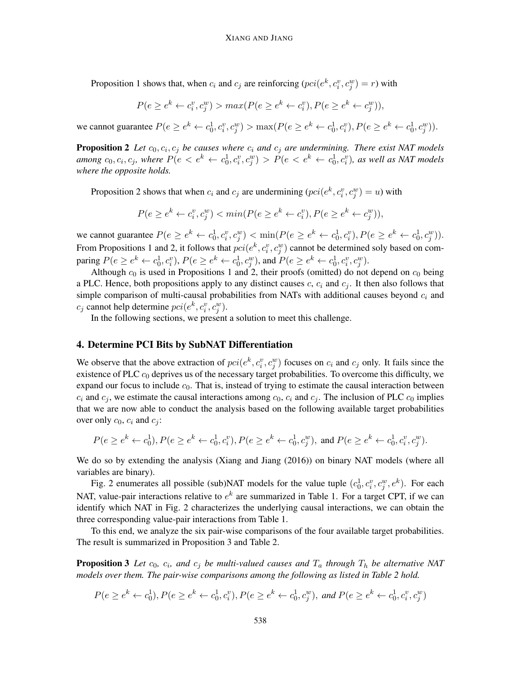Proposition 1 shows that, when  $c_i$  and  $c_j$  are reinforcing  $(pci(e^k, c_i^v, c_j^w) = r)$  with

$$
P(e \ge e^k \leftarrow c_i^v, c_j^w) > max(P(e \ge e^k \leftarrow c_i^v), P(e \ge e^k \leftarrow c_j^w)),
$$

we cannot guarantee  $P(e \ge e^k \leftarrow c_0^1, c_i^v, c_j^w) > \max(P(e \ge e^k \leftarrow c_0^1, c_i^v), P(e \ge e^k \leftarrow c_0^1, c_j^w)).$ 

**Proposition 2** Let  $c_0, c_i, c_j$  be causes where  $c_i$  and  $c_j$  are undermining. There exist NAT models among  $c_0, c_i, c_j$ , where  $P(e < e^k \leftarrow c_0^1, c_i^v, c_j^w) > P(e < e^k \leftarrow c_0^1, c_i^v)$ , as well as NAT models *where the opposite holds.*

Proposition 2 shows that when  $c_i$  and  $c_j$  are undermining  $(pci(e^k, c_i^v, c_j^w)) = u$ ) with

$$
P(e \ge e^k \leftarrow c_i^v, c_j^w) < \min(P(e \ge e^k \leftarrow c_i^v), P(e \ge e^k \leftarrow c_j^w)),
$$

we cannot guarantee  $P(e \ge e^k \leftarrow c_0^1, c_i^v, c_j^w) < \min(P(e \ge e^k \leftarrow c_0^1, c_i^v), P(e \ge e^k \leftarrow c_0^1, c_j^w)).$ From Propositions 1 and 2, it follows that  $pci(e^k, c_i^v, c_j^w)$  cannot be determined soly based on comparing  $P(e \ge e^k \leftarrow c_0^1, c_i^v)$ ,  $P(e \ge e^k \leftarrow c_0^1, c_j^w)$ , and  $P(e \ge e^k \leftarrow c_0^1, c_i^v, c_j^w)$ .

Although  $c_0$  is used in Propositions 1 and 2, their proofs (omitted) do not depend on  $c_0$  being a PLC. Hence, both propositions apply to any distinct causes  $c, c_i$  and  $c_j$ . It then also follows that simple comparison of multi-causal probabilities from NATs with additional causes beyond  $c_i$  and  $c_j$  cannot help determine  $pci(e^k, c_i^v, c_j^w)$ .

In the following sections, we present a solution to meet this challenge.

### 4. Determine PCI Bits by SubNAT Differentiation

We observe that the above extraction of  $pci(e^k, c_i^v, c_j^w)$  focuses on  $c_i$  and  $c_j$  only. It fails since the existence of PLC  $c_0$  deprives us of the necessary target probabilities. To overcome this difficulty, we expand our focus to include  $c_0$ . That is, instead of trying to estimate the causal interaction between  $c_i$  and  $c_j$ , we estimate the causal interactions among  $c_0$ ,  $c_i$  and  $c_j$ . The inclusion of PLC  $c_0$  implies that we are now able to conduct the analysis based on the following available target probabilities over only  $c_0$ ,  $c_i$  and  $c_j$ :

$$
P(e \ge e^k \leftarrow c_0^1), P(e \ge e^k \leftarrow c_0^1, c_i^v), P(e \ge e^k \leftarrow c_0^1, c_j^w), \text{ and } P(e \ge e^k \leftarrow c_0^1, c_i^v, c_j^w).
$$

We do so by extending the analysis (Xiang and Jiang (2016)) on binary NAT models (where all variables are binary).

Fig. 2 enumerates all possible (sub)NAT models for the value tuple  $(c_0^1, c_i^v, c_j^w, e^k)$ . For each NAT, value-pair interactions relative to  $e^k$  are summarized in Table 1. For a target CPT, if we can identify which NAT in Fig. 2 characterizes the underlying causal interactions, we can obtain the three corresponding value-pair interactions from Table 1.

To this end, we analyze the six pair-wise comparisons of the four available target probabilities. The result is summarized in Proposition 3 and Table 2.

**Proposition 3** Let  $c_0$ ,  $c_i$ , and  $c_j$  be multi-valued causes and  $T_a$  through  $T_h$  be alternative NAT *models over them. The pair-wise comparisons among the following as listed in Table 2 hold.*

$$
P(e \ge e^k \leftarrow c_0^1), P(e \ge e^k \leftarrow c_0^1, c_i^v), P(e \ge e^k \leftarrow c_0^1, c_j^w), \text{ and } P(e \ge e^k \leftarrow c_0^1, c_i^v, c_j^w)
$$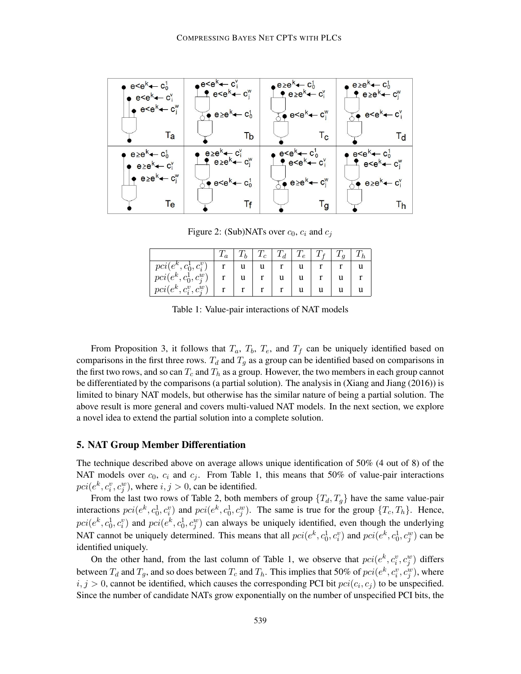

Figure 2: (Sub)NATs over  $c_0$ ,  $c_i$  and  $c_j$ 

|                          | $\boldsymbol{\mu}$ |   | $T_c$ | $ T_d $ | $T_e$ |  |  |
|--------------------------|--------------------|---|-------|---------|-------|--|--|
| $pci(e^k, c_0^1, c_i^v)$ |                    | u |       |         |       |  |  |
| $pci(e^k, c^1_0, c^w_j)$ |                    |   |       | u       | u     |  |  |
| $pci(e^k, c_i^v, c_i^w)$ |                    |   |       |         |       |  |  |

Table 1: Value-pair interactions of NAT models

From Proposition 3, it follows that  $T_a$ ,  $T_b$ ,  $T_e$ , and  $T_f$  can be uniquely identified based on comparisons in the first three rows.  $T_d$  and  $T_q$  as a group can be identified based on comparisons in the first two rows, and so can  $T_c$  and  $T_h$  as a group. However, the two members in each group cannot be differentiated by the comparisons (a partial solution). The analysis in (Xiang and Jiang (2016)) is limited to binary NAT models, but otherwise has the similar nature of being a partial solution. The above result is more general and covers multi-valued NAT models. In the next section, we explore a novel idea to extend the partial solution into a complete solution.

## 5. NAT Group Member Differentiation

The technique described above on average allows unique identification of 50% (4 out of 8) of the NAT models over  $c_0$ ,  $c_i$  and  $c_j$ . From Table 1, this means that 50% of value-pair interactions  $pci(e^k, c_i^v, c_j^w)$ , where  $i, j > 0$ , can be identified.

From the last two rows of Table 2, both members of group  $\{T_d, T_g\}$  have the same value-pair interactions  $pci(e^k, c_0^1, c_i^v)$  and  $pci(e^k, c_0^1, c_j^w)$ . The same is true for the group  $\{T_c, T_h\}$ . Hence,  $pci(e^k, c_0^1, c_i^v)$  and  $pci(e^k, c_0^1, c_j^w)$  can always be uniquely identified, even though the underlying NAT cannot be uniquely determined. This means that all  $pci(e^k, c_0^1, c_i^v)$  and  $pci(e^k, c_0^1, c_j^w)$  can be identified uniquely.

On the other hand, from the last column of Table 1, we observe that  $pci(e^k, c_i^v, c_j^w)$  differs between  $T_d$  and  $T_g$ , and so does between  $T_c$  and  $T_h$ . This implies that 50% of  $pci(e^k, c_i^v, c_j^w)$ , where  $i, j > 0$ , cannot be identified, which causes the corresponding PCI bit  $pci(c_i, c_j)$  to be unspecified. Since the number of candidate NATs grow exponentially on the number of unspecified PCI bits, the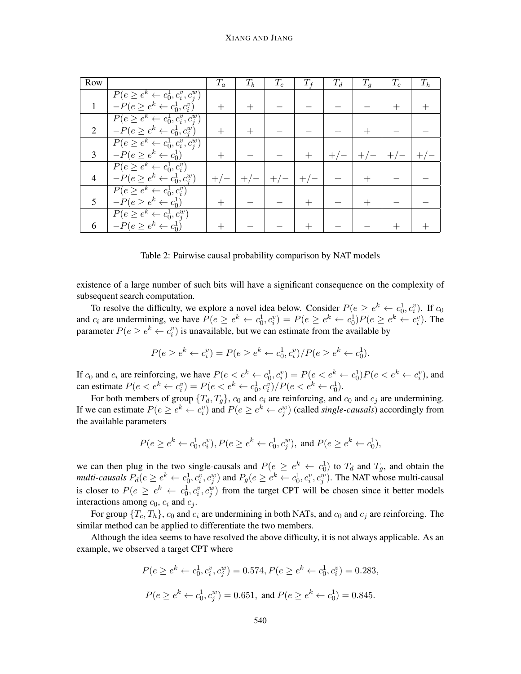| Row |                                               | $T_a$  | $T_b$ | $T_e$ | $T_f$ | $T_d$ | $T_q$ | $T_c$ | $T_h$ |
|-----|-----------------------------------------------|--------|-------|-------|-------|-------|-------|-------|-------|
|     | $P(e \ge e^k \leftarrow c_0^1, c_i^v, c_j^w)$ |        |       |       |       |       |       |       |       |
|     | $-P(e \ge e^k \leftarrow c_0^1, c_i^v)$       | $^{+}$ |       |       |       |       |       |       |       |
|     | $P(e \ge e^k \leftarrow c_0^1, c_i^v, c_j^w)$ |        |       |       |       |       |       |       |       |
| 2   | $-P(e \ge e^k \leftarrow c_0^1, c_j^w)$       | $\pm$  |       |       |       |       |       |       |       |
|     | $P(e \ge e^k \leftarrow c_0^1, c_i^v, c_j^w)$ |        |       |       |       |       |       |       |       |
| 3   | $-P(e \ge e^k \leftarrow c_0^1)$              |        |       |       |       |       |       | $+$ , |       |
|     | $P(e \ge e^k \leftarrow c_0^1, c_i^v)$        |        |       |       |       |       |       |       |       |
| 4   | $-P(e \ge e^k \leftarrow c_0^1, c_j^w)$       | $+/-$  |       | $+/-$ | $+/-$ |       |       |       |       |
|     | $P(e \ge e^k \leftarrow c_0^1, c_i^v)$        |        |       |       |       |       |       |       |       |
|     | $-P(e \ge e^k \leftarrow c_0^1)$              |        |       |       |       |       |       |       |       |
|     | $P(e \geq e^k \leftarrow c_0^1, c_j^w)$       |        |       |       |       |       |       |       |       |
|     | $-P(e \geq e^k \leftarrow c_0^1)$             |        |       |       |       |       |       |       |       |

Table 2: Pairwise causal probability comparison by NAT models

existence of a large number of such bits will have a significant consequence on the complexity of subsequent search computation.

To resolve the difficulty, we explore a novel idea below. Consider  $P(e \ge e^k \leftarrow c_0^1, c_i^v)$ . If  $c_0$ and  $c_i$  are undermining, we have  $P(e \ge e^k \leftarrow c_0^1, c_i^v) = P(e \ge e^k \leftarrow c_0^1)P(e \ge e^k \leftarrow c_i^v)$ . The parameter  $P(e \ge e^k \leftarrow c_i^v)$  is unavailable, but we can estimate from the available by

$$
P(e \ge e^k \leftarrow c_i^v) = P(e \ge e^k \leftarrow c_0^1, c_i^v) / P(e \ge e^k \leftarrow c_0^1).
$$

If  $c_0$  and  $c_i$  are reinforcing, we have  $P(e \lt e^k \lt -c_0^1, c_i^v) = P(e \lt e^k \lt -c_0^1)P(e \lt e^k \lt -c_i^v)$ , and can estimate  $P(e < e^k \leftarrow c_i^v) = P(e < e^k \leftarrow c_0^1, c_i^v) / P(e < e^k \leftarrow c_0^1)$ .

For both members of group  $\{T_d, T_g\}$ ,  $c_0$  and  $c_i$  are reinforcing, and  $c_0$  and  $c_j$  are undermining. If we can estimate  $P(e \ge e^k \leftarrow c_i^v)$  and  $P(e \ge e^k \leftarrow c_j^w)$  (called *single-causals*) accordingly from the available parameters

$$
P(e \ge e^k \leftarrow c_0^1, c_i^v), P(e \ge e^k \leftarrow c_0^1, c_j^w), \text{ and } P(e \ge e^k \leftarrow c_0^1),
$$

we can then plug in the two single-causals and  $P(e \ge e^k \leftarrow c_0^1)$  to  $T_d$  and  $T_g$ , and obtain the *multi-causals*  $P_d(e \ge e^k \leftarrow c_0^1, c_i^v, c_j^w)$  and  $P_g(e \ge e^k \leftarrow c_0^1, c_i^v, c_j^w)$ . The NAT whose multi-causal is closer to  $P(e \ge e^k \leftarrow c_0^1, c_i^v, c_j^w)$  from the target CPT will be chosen since it better models interactions among  $c_0$ ,  $c_i$  and  $c_j$ .

For group  $\{T_c, T_h\}$ ,  $c_0$  and  $c_i$  are undermining in both NATs, and  $c_0$  and  $c_j$  are reinforcing. The similar method can be applied to differentiate the two members.

Although the idea seems to have resolved the above difficulty, it is not always applicable. As an example, we observed a target CPT where

$$
P(e \ge e^k \leftarrow c_0^1, c_i^v, c_j^w) = 0.574, P(e \ge e^k \leftarrow c_0^1, c_i^v) = 0.283,
$$
  

$$
P(e \ge e^k \leftarrow c_0^1, c_j^w) = 0.651, \text{ and } P(e \ge e^k \leftarrow c_0^1) = 0.845.
$$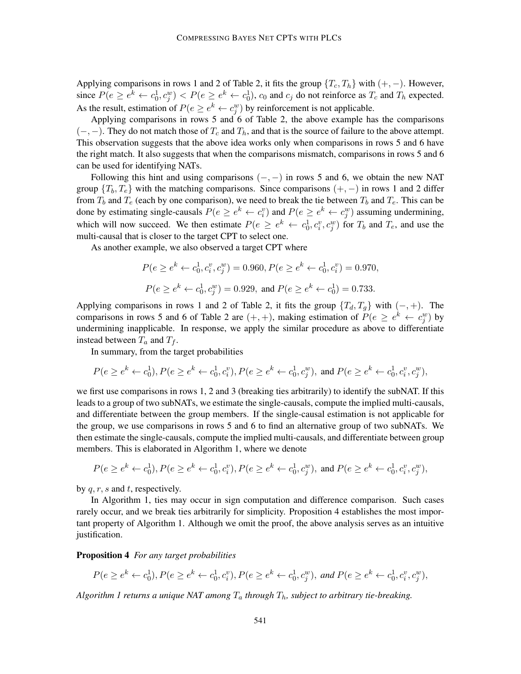Applying comparisons in rows 1 and 2 of Table 2, it fits the group  $\{T_c, T_h\}$  with  $(+, -)$ . However, since  $P(e \ge e^k \leftarrow c_0^1, c_j^w) < P(e \ge e^k \leftarrow c_0^1)$ ,  $c_0$  and  $c_j$  do not reinforce as  $T_c$  and  $T_h$  expected. As the result, estimation of  $P(e \ge e^k \leftarrow c_j^w)$  by reinforcement is not applicable.

Applying comparisons in rows 5 and 6 of Table 2, the above example has the comparisons  $(-,-)$ . They do not match those of  $T_c$  and  $T_h$ , and that is the source of failure to the above attempt. This observation suggests that the above idea works only when comparisons in rows 5 and 6 have the right match. It also suggests that when the comparisons mismatch, comparisons in rows 5 and 6 can be used for identifying NATs.

Following this hint and using comparisons  $(-, -)$  in rows 5 and 6, we obtain the new NAT group  $\{T_b, T_e\}$  with the matching comparisons. Since comparisons  $(+, -)$  in rows 1 and 2 differ from  $T_b$  and  $T_e$  (each by one comparison), we need to break the tie between  $T_b$  and  $T_e$ . This can be done by estimating single-causals  $P(e \ge e^k \leftarrow c_i^v)$  and  $P(e \ge e^k \leftarrow c_j^w)$  assuming undermining, which will now succeed. We then estimate  $P(e \ge e^k \leftarrow c_0^1, c_i^v, c_j^w)$  for  $T_b$  and  $T_e$ , and use the multi-causal that is closer to the target CPT to select one.

As another example, we also observed a target CPT where

$$
P(e \ge e^k \leftarrow c_0^1, c_i^v, c_j^w) = 0.960, P(e \ge e^k \leftarrow c_0^1, c_i^v) = 0.970,
$$
  

$$
P(e \ge e^k \leftarrow c_0^1, c_j^w) = 0.929, \text{ and } P(e \ge e^k \leftarrow c_0^1) = 0.733.
$$

Applying comparisons in rows 1 and 2 of Table 2, it fits the group  $\{T_d, T_q\}$  with  $(-, +)$ . The comparisons in rows 5 and 6 of Table 2 are  $(+, +)$ , making estimation of  $P(e \ge e^k \leftarrow c_j^w)$  by undermining inapplicable. In response, we apply the similar procedure as above to differentiate instead between  $T_a$  and  $T_f$ .

In summary, from the target probabilities

$$
P(e \ge e^k \leftarrow c_0^1), P(e \ge e^k \leftarrow c_0^1, c_i^v), P(e \ge e^k \leftarrow c_0^1, c_j^w), \text{ and } P(e \ge e^k \leftarrow c_0^1, c_i^v, c_j^w),
$$

we first use comparisons in rows 1, 2 and 3 (breaking ties arbitrarily) to identify the subNAT. If this leads to a group of two subNATs, we estimate the single-causals, compute the implied multi-causals, and differentiate between the group members. If the single-causal estimation is not applicable for the group, we use comparisons in rows 5 and 6 to find an alternative group of two subNATs. We then estimate the single-causals, compute the implied multi-causals, and differentiate between group members. This is elaborated in Algorithm 1, where we denote

$$
P(e \ge e^k \leftarrow c_0^1), P(e \ge e^k \leftarrow c_0^1, c_i^v), P(e \ge e^k \leftarrow c_0^1, c_j^w), \text{ and } P(e \ge e^k \leftarrow c_0^1, c_i^v, c_j^w),
$$

by  $q, r, s$  and t, respectively.

In Algorithm 1, ties may occur in sign computation and difference comparison. Such cases rarely occur, and we break ties arbitrarily for simplicity. Proposition 4 establishes the most important property of Algorithm 1. Although we omit the proof, the above analysis serves as an intuitive justification.

Proposition 4 *For any target probabilities*

$$
P(e \ge e^k \leftarrow c_0^1), P(e \ge e^k \leftarrow c_0^1, c_i^v), P(e \ge e^k \leftarrow c_0^1, c_j^w), \text{ and } P(e \ge e^k \leftarrow c_0^1, c_i^v, c_j^w),
$$

*Algorithm 1 returns a unique NAT among*  $T_a$  *through*  $T_b$ *, subject to arbitrary tie-breaking.*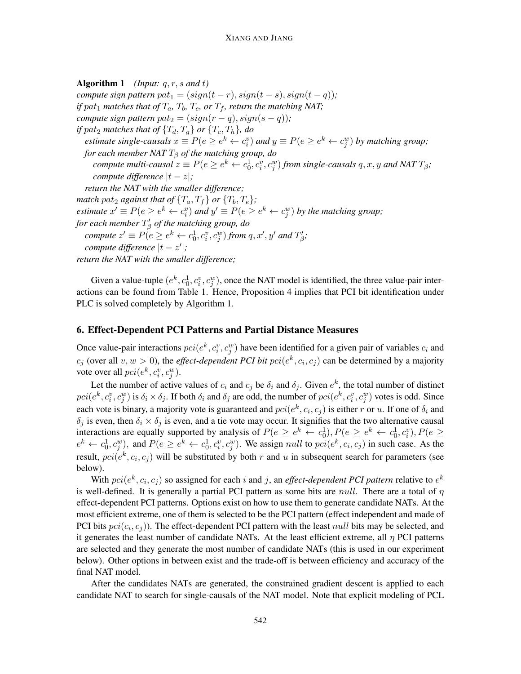Algorithm 1 *(Input:* q, r, s *and* t*) compute sign pattern*  $pat_1 = (sign(t - r), sign(t - s), sign(t - q))$ ; *if* pat<sub>1</sub> matches that of  $T_a$ ,  $T_b$ ,  $T_e$ , or  $T_f$ , return the matching NAT; *compute sign pattern pat*<sub>2</sub> =  $(sign(r - q), sign(s - q))$ ; *if*  $pat_2$  *matches that of*  $\{T_d, T_q\}$  *or*  $\{T_c, T_h\}$ *, do estimate single-causals*  $x \equiv P(e \ge e^k \leftarrow c_i^v)$  and  $y \equiv P(e \ge e^k \leftarrow c_j^w)$  by matching group; *for each member NAT*  $T_\beta$  *of the matching group, do compute multi-causal*  $z \equiv P(e \ge e^k \leftarrow c_0^1, c_i^v, c_j^w)$  *from single-causals*  $q, x, y$  *and NAT*  $T_\beta$ *; compute difference*  $|t - z|$ *; return the NAT with the smaller difference; match pat*<sub>2</sub> *against that of*  ${T_a, T_f}$  *or*  ${T_b, T_e}$ ; *estimate*  $x' \equiv P(e \ge e^k \leftarrow c_i^v)$  *and*  $y' \equiv P(e \ge e^k \leftarrow c_j^w)$  *by the matching group*; for each member  $T^\prime_\beta$  of the matching group, do  $\mathit{compute}\ z'\equiv P(e\geq e^k\leftarrow c_0^1, c_i^v, c_j^w)\ \mathit{from}\ q, x', y'\ \mathit{and}\ T'_\beta;$  $\textit{compute difference} |t - z'|;$ *return the NAT with the smaller difference;*

Given a value-tuple  $(e^k, c_0^1, c_i^v, c_j^w)$ , once the NAT model is identified, the three value-pair interactions can be found from Table 1. Hence, Proposition 4 implies that PCI bit identification under PLC is solved completely by Algorithm 1.

## 6. Effect-Dependent PCI Patterns and Partial Distance Measures

Once value-pair interactions  $pci(e^k, c_i^v, c_j^w)$  have been identified for a given pair of variables  $c_i$  and  $c_j$  (over all  $v, w > 0$ ), the *effect-dependent PCI bit pci*( $e^k, c_i, c_j$ ) can be determined by a majority vote over all  $pci(e^k, c_i^v, c_j^w)$ .

Let the number of active values of  $c_i$  and  $c_j$  be  $\delta_i$  and  $\delta_j$ . Given  $e^k$ , the total number of distinct  $pci(e^k, c_i^v, c_j^w)$  is  $\delta_i \times \delta_j$ . If both  $\delta_i$  and  $\delta_j$  are odd, the number of  $pci(e^k, c_i^v, c_j^w)$  votes is odd. Since each vote is binary, a majority vote is guaranteed and  $pci(e^k, c_i, c_j)$  is either r or u. If one of  $\delta_i$  and  $\delta_i$  is even, then  $\delta_i \times \delta_j$  is even, and a tie vote may occur. It signifies that the two alternative causal interactions are equally supported by analysis of  $P(e \ge e^k \leftarrow c_0^1, P(e \ge e^k \leftarrow c_0^1, c_i^v), P(e \ge e^k \leftarrow c_0^1, c_i^v)$  $e^k \leftarrow c_0^1, c_j^w$ , and  $P(e \ge e^k \leftarrow c_0^1, c_i^v, c_j^w)$ . We assign *null* to  $pci(e^k, c_i, c_j)$  in such case. As the result,  $pci(e^k, c_i, c_j)$  will be substituted by both r and u in subsequent search for parameters (see below).

With  $pci(e^k, c_i, c_j)$  so assigned for each i and j, an *effect-dependent PCI pattern* relative to  $e^k$ is well-defined. It is generally a partial PCI pattern as some bits are *null*. There are a total of  $\eta$ effect-dependent PCI patterns. Options exist on how to use them to generate candidate NATs. At the most efficient extreme, one of them is selected to be the PCI pattern (effect independent and made of PCI bits  $pci(c_i, c_j)$ ). The effect-dependent PCI pattern with the least null bits may be selected, and it generates the least number of candidate NATs. At the least efficient extreme, all  $\eta$  PCI patterns are selected and they generate the most number of candidate NATs (this is used in our experiment below). Other options in between exist and the trade-off is between efficiency and accuracy of the final NAT model.

After the candidates NATs are generated, the constrained gradient descent is applied to each candidate NAT to search for single-causals of the NAT model. Note that explicit modeling of PCL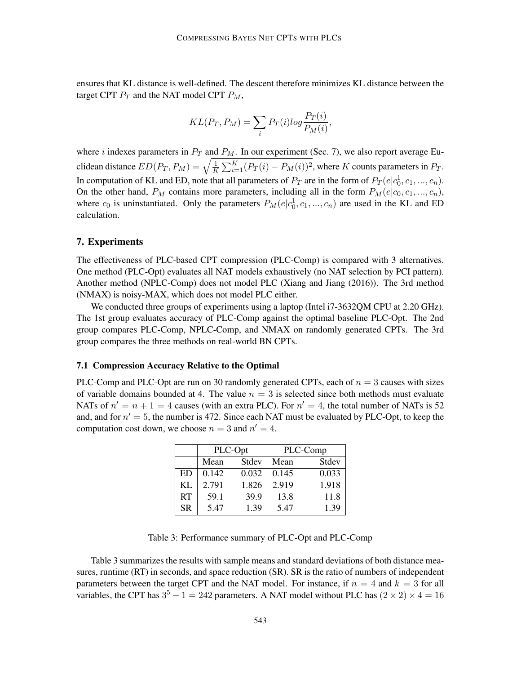ensures that KL distance is well-defined. The descent therefore minimizes KL distance between the target CPT  $P_T$  and the NAT model CPT  $P_M$ ,

$$
KL(P_T, P_M) = \sum_i P_T(i)log \frac{P_T(i)}{P_M(i)},
$$

where *i* indexes parameters in  $P_T$  and  $P_M$ . In our experiment (Sec. 7), we also report average Euclidean distance  $ED(P_T, P_M) = \sqrt{\frac{1}{K}}$  $\frac{1}{K} \sum_{i=1}^{K} (P_T(i) - P_M(i))^2$ , where K counts parameters in  $P_T$ . In computation of KL and ED, note that all parameters of  $P_T$  are in the form of  $P_T(e|c_0^1, c_1, ..., c_n)$ . On the other hand,  $P_M$  contains more parameters, including all in the form  $P_M(e|c_0, c_1, ..., c_n)$ , where  $c_0$  is uninstantiated. Only the parameters  $P_M(e|c_0^1, c_1, ..., c_n)$  are used in the KL and ED calculation.

#### 7. Experiments

The effectiveness of PLC-based CPT compression (PLC-Comp) is compared with 3 alternatives. One method (PLC-Opt) evaluates all NAT models exhaustively (no NAT selection by PCI pattern). Another method (NPLC-Comp) does not model PLC (Xiang and Jiang (2016)). The 3rd method (NMAX) is noisy-MAX, which does not model PLC either.

We conducted three groups of experiments using a laptop (Intel i7-3632QM CPU at 2.20 GHz). The 1st group evaluates accuracy of PLC-Comp against the optimal baseline PLC-Opt. The 2nd group compares PLC-Comp, NPLC-Comp, and NMAX on randomly generated CPTs. The 3rd group compares the three methods on real-world BN CPTs.

## 7.1 Compression Accuracy Relative to the Optimal

PLC-Comp and PLC-Opt are run on 30 randomly generated CPTs, each of  $n = 3$  causes with sizes of variable domains bounded at 4. The value  $n = 3$  is selected since both methods must evaluate NATs of  $n' = n + 1 = 4$  causes (with an extra PLC). For  $n' = 4$ , the total number of NATs is 52 and, and for  $n' = 5$ , the number is 472. Since each NAT must be evaluated by PLC-Opt, to keep the computation cost down, we choose  $n = 3$  and  $n' = 4$ .

|           |               | PLC-Opt | PLC-Comp |       |  |  |
|-----------|---------------|---------|----------|-------|--|--|
|           | Stdev<br>Mean |         | Mean     | Stdev |  |  |
| ED        | 0.142         | 0.032   | 0.145    | 0.033 |  |  |
| KL        | 2.791         | 1.826   | 2.919    | 1.918 |  |  |
| <b>RT</b> | 59.1          | 39.9    | 13.8     | 11.8  |  |  |
| <b>SR</b> | 5.47          | 1.39    | 5.47     | 1.39  |  |  |

Table 3: Performance summary of PLC-Opt and PLC-Comp

Table 3 summarizes the results with sample means and standard deviations of both distance measures, runtime (RT) in seconds, and space reduction (SR). SR is the ratio of numbers of independent parameters between the target CPT and the NAT model. For instance, if  $n = 4$  and  $k = 3$  for all variables, the CPT has  $3^5 - 1 = 242$  parameters. A NAT model without PLC has  $(2 \times 2) \times 4 = 16$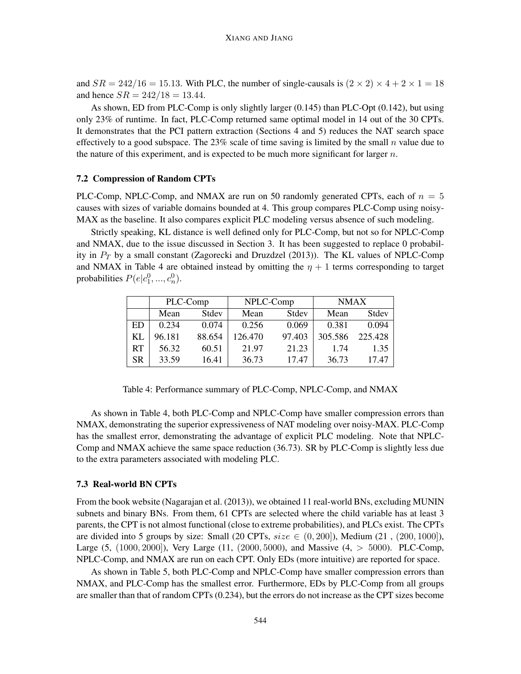and  $SR = 242/16 = 15.13$ . With PLC, the number of single-causals is  $(2 \times 2) \times 4 + 2 \times 1 = 18$ and hence  $SR = 242/18 = 13.44$ .

As shown, ED from PLC-Comp is only slightly larger (0.145) than PLC-Opt (0.142), but using only 23% of runtime. In fact, PLC-Comp returned same optimal model in 14 out of the 30 CPTs. It demonstrates that the PCI pattern extraction (Sections 4 and 5) reduces the NAT search space effectively to a good subspace. The 23% scale of time saving is limited by the small n value due to the nature of this experiment, and is expected to be much more significant for larger  $n$ .

#### 7.2 Compression of Random CPTs

PLC-Comp, NPLC-Comp, and NMAX are run on 50 randomly generated CPTs, each of  $n = 5$ causes with sizes of variable domains bounded at 4. This group compares PLC-Comp using noisy-MAX as the baseline. It also compares explicit PLC modeling versus absence of such modeling.

Strictly speaking, KL distance is well defined only for PLC-Comp, but not so for NPLC-Comp and NMAX, due to the issue discussed in Section 3. It has been suggested to replace 0 probability in  $P_T$  by a small constant (Zagorecki and Druzdzel (2013)). The KL values of NPLC-Comp and NMAX in Table 4 are obtained instead by omitting the  $\eta + 1$  terms corresponding to target probabilities  $P(e|c_1^0, ..., c_n^0)$ .

|           | PLC-Comp |        | NPLC-Comp |        | <b>NMAX</b> |         |  |
|-----------|----------|--------|-----------|--------|-------------|---------|--|
|           | Mean     | Stdev  | Mean      | Stdev  | Mean        | Stdev   |  |
| ED        | 0.234    | 0.074  | 0.256     | 0.069  | 0.381       | 0.094   |  |
| KL        | 96.181   | 88.654 | 126.470   | 97.403 | 305.586     | 225.428 |  |
| <b>RT</b> | 56.32    | 60.51  | 21.97     | 21.23  | 1.74        | 1.35    |  |
| <b>SR</b> | 33.59    | 16.41  | 36.73     | 17.47  | 36.73       | 17.47   |  |

Table 4: Performance summary of PLC-Comp, NPLC-Comp, and NMAX

As shown in Table 4, both PLC-Comp and NPLC-Comp have smaller compression errors than NMAX, demonstrating the superior expressiveness of NAT modeling over noisy-MAX. PLC-Comp has the smallest error, demonstrating the advantage of explicit PLC modeling. Note that NPLC-Comp and NMAX achieve the same space reduction (36.73). SR by PLC-Comp is slightly less due to the extra parameters associated with modeling PLC.

### 7.3 Real-world BN CPTs

From the book website (Nagarajan et al. (2013)), we obtained 11 real-world BNs, excluding MUNIN subnets and binary BNs. From them, 61 CPTs are selected where the child variable has at least 3 parents, the CPT is not almost functional (close to extreme probabilities), and PLCs exist. The CPTs are divided into 5 groups by size: Small (20 CPTs,  $size \in (0, 200)$ ), Medium (21, (200, 1000)), Large (5, (1000, 2000]), Very Large (11, (2000, 5000), and Massive (4, > 5000). PLC-Comp, NPLC-Comp, and NMAX are run on each CPT. Only EDs (more intuitive) are reported for space.

As shown in Table 5, both PLC-Comp and NPLC-Comp have smaller compression errors than NMAX, and PLC-Comp has the smallest error. Furthermore, EDs by PLC-Comp from all groups are smaller than that of random CPTs (0.234), but the errors do not increase as the CPT sizes become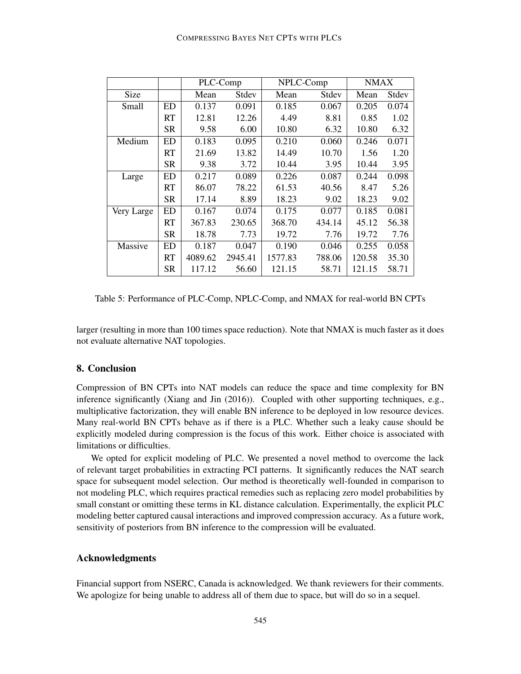|             |           | PLC-Comp |         | NPLC-Comp |        | <b>NMAX</b> |       |
|-------------|-----------|----------|---------|-----------|--------|-------------|-------|
| <b>Size</b> |           | Mean     | Stdev   | Mean      | Stdev  | Mean        | Stdev |
| Small       | ED        | 0.137    | 0.091   | 0.185     | 0.067  | 0.205       | 0.074 |
|             | RT        | 12.81    | 12.26   | 4.49      | 8.81   | 0.85        | 1.02  |
|             | <b>SR</b> | 9.58     | 6.00    | 10.80     | 6.32   | 10.80       | 6.32  |
| Medium      | <b>ED</b> | 0.183    | 0.095   | 0.210     | 0.060  | 0.246       | 0.071 |
|             | RT        | 21.69    | 13.82   | 14.49     | 10.70  | 1.56        | 1.20  |
|             | <b>SR</b> | 9.38     | 3.72    | 10.44     | 3.95   | 10.44       | 3.95  |
| Large       | ED        | 0.217    | 0.089   | 0.226     | 0.087  | 0.244       | 0.098 |
|             | <b>RT</b> | 86.07    | 78.22   | 61.53     | 40.56  | 8.47        | 5.26  |
|             | <b>SR</b> | 17.14    | 8.89    | 18.23     | 9.02   | 18.23       | 9.02  |
| Very Large  | <b>ED</b> | 0.167    | 0.074   | 0.175     | 0.077  | 0.185       | 0.081 |
|             | <b>RT</b> | 367.83   | 230.65  | 368.70    | 434.14 | 45.12       | 56.38 |
|             | <b>SR</b> | 18.78    | 7.73    | 19.72     | 7.76   | 19.72       | 7.76  |
| Massive     | <b>ED</b> | 0.187    | 0.047   | 0.190     | 0.046  | 0.255       | 0.058 |
|             | RT        | 4089.62  | 2945.41 | 1577.83   | 788.06 | 120.58      | 35.30 |
|             | <b>SR</b> | 117.12   | 56.60   | 121.15    | 58.71  | 121.15      | 58.71 |

Table 5: Performance of PLC-Comp, NPLC-Comp, and NMAX for real-world BN CPTs

larger (resulting in more than 100 times space reduction). Note that NMAX is much faster as it does not evaluate alternative NAT topologies.

## 8. Conclusion

Compression of BN CPTs into NAT models can reduce the space and time complexity for BN inference significantly (Xiang and Jin (2016)). Coupled with other supporting techniques, e.g., multiplicative factorization, they will enable BN inference to be deployed in low resource devices. Many real-world BN CPTs behave as if there is a PLC. Whether such a leaky cause should be explicitly modeled during compression is the focus of this work. Either choice is associated with limitations or difficulties.

We opted for explicit modeling of PLC. We presented a novel method to overcome the lack of relevant target probabilities in extracting PCI patterns. It significantly reduces the NAT search space for subsequent model selection. Our method is theoretically well-founded in comparison to not modeling PLC, which requires practical remedies such as replacing zero model probabilities by small constant or omitting these terms in KL distance calculation. Experimentally, the explicit PLC modeling better captured causal interactions and improved compression accuracy. As a future work, sensitivity of posteriors from BN inference to the compression will be evaluated.

## Acknowledgments

Financial support from NSERC, Canada is acknowledged. We thank reviewers for their comments. We apologize for being unable to address all of them due to space, but will do so in a sequel.